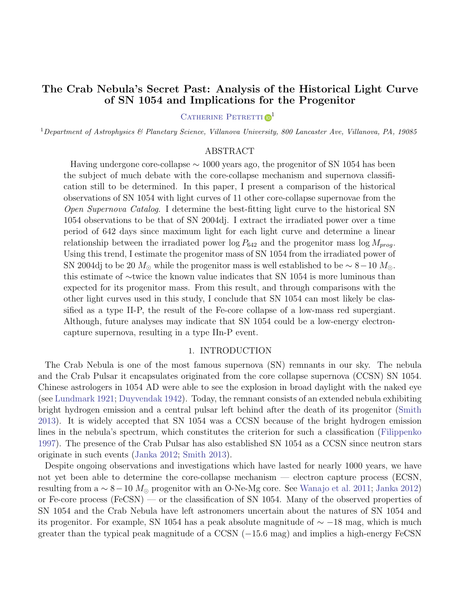# The Crab Nebula's Secret Past: Analysis of the Historical Light Curve of SN 1054 and Implications for the Progenitor

## CATHERINE PETRETTI<sup>D1</sup>

<sup>1</sup>Department of Astrophysics & Planetary Science, Villanova University, 800 Lancaster Ave, Villanova, PA, 19085

## ABSTRACT

Having undergone core-collapse  $\sim 1000$  years ago, the progenitor of SN 1054 has been the subject of much debate with the core-collapse mechanism and supernova classification still to be determined. In this paper, I present a comparison of the historical observations of SN 1054 with light curves of 11 other core-collapse supernovae from the Open Supernova Catalog. I determine the best-fitting light curve to the historical SN 1054 observations to be that of SN 2004dj. I extract the irradiated power over a time period of 642 days since maximum light for each light curve and determine a linear relationship between the irradiated power  $\log P_{642}$  and the progenitor mass  $\log M_{prog}$ . Using this trend, I estimate the progenitor mass of SN 1054 from the irradiated power of SN 2004dj to be 20  $M_{\odot}$  while the progenitor mass is well established to be  $\sim 8-10$   $M_{\odot}$ . this estimate of ∼twice the known value indicates that SN 1054 is more luminous than expected for its progenitor mass. From this result, and through comparisons with the other light curves used in this study, I conclude that SN 1054 can most likely be classified as a type II-P, the result of the Fe-core collapse of a low-mass red supergiant. Although, future analyses may indicate that SN 1054 could be a low-energy electroncapture supernova, resulting in a type IIn-P event.

## 1. INTRODUCTION

The Crab Nebula is one of the most famous supernova (SN) remnants in our sky. The nebula and the Crab Pulsar it encapsulates originated from the core collapse supernova (CCSN) SN 1054. Chinese astrologers in 1054 AD were able to see the explosion in broad daylight with the naked eye (see [Lundmark](#page-6-0) [1921;](#page-6-0) [Duyvendak](#page-6-1) [1942\).](#page-6-1) Today, the remnant consists of an extended nebula exhibiting bright hydrogen emission and a central pulsar left behind after the death of its progenitor [\(Smith](#page-6-2) [2013\).](#page-6-2) It is widely accepted that SN 1054 was a CCSN because of the bright hydrogen emission lines in the nebula's spectrum, which constitutes the criterion for such a classification [\(Filippenko](#page-6-3) [1997\).](#page-6-3) The presence of the Crab Pulsar has also established SN 1054 as a CCSN since neutron stars originate in such events [\(Janka](#page-6-4) [2012;](#page-6-4) [Smith](#page-6-2) [2013\).](#page-6-2)

Despite ongoing observations and investigations which have lasted for nearly 1000 years, we have not yet been able to determine the core-collapse mechanism — electron capture process (ECSN, resulting from a  $\sim 8-10$   $M_{\odot}$  progenitor with an O-Ne-Mg core. See [Wanajo](#page-7-0) et al. [2011;](#page-7-0) [Janka](#page-6-4) [2012\)](#page-6-4) or Fe-core process (FeCSN) — or the classification of SN 1054. Many of the observed properties of SN 1054 and the Crab Nebula have left astronomers uncertain about the natures of SN 1054 and its progenitor. For example, SN 1054 has a peak absolute magnitude of  $\sim$  −18 mag, which is much greater than the typical peak magnitude of a CCSN  $(-15.6 \text{ mag})$  and implies a high-energy FeCSN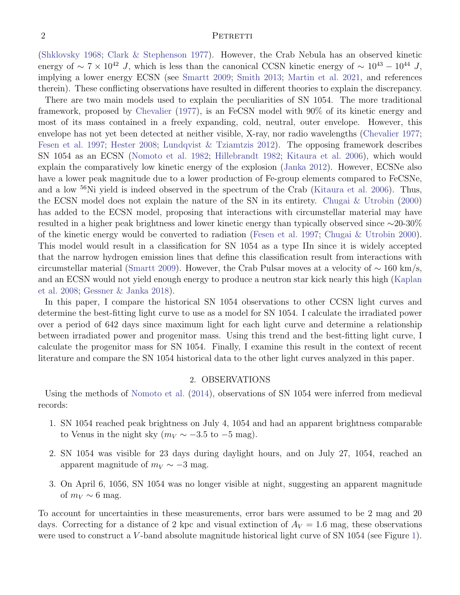#### 2 PETRETTI

[\(Shklovsky 1968;](#page-6-5) [Clark & Stephenson 1977\)](#page-6-6). However, the Crab Nebula has an observed kinetic energy of ~ 7 × 10<sup>42</sup> J, which is less than the canonical CCSN kinetic energy of ~ 10<sup>43</sup> − 10<sup>44</sup> J, implying a lower energy ECSN (see [Smartt 2009;](#page-6-7) [Smith 2013;](#page-6-2) [Martin et al. 2021,](#page-6-8) and references therein). These conflicting observations have resulted in different theories to explain the discrepancy.

There are two main models used to explain the peculiarities of SN 1054. The more traditional framework, proposed by [Chevalier](#page-6-9) [\(1977\)](#page-6-9), is an FeCSN model with 90% of its kinetic energy and most of its mass contained in a freely expanding, cold, neutral, outer envelope. However, this envelope has not yet been detected at neither visible, X-ray, nor radio wavelengths [\(Chevalier 1977;](#page-6-9) [Fesen et al. 1997;](#page-6-10) [Hester 2008;](#page-6-11) [Lundqvist & Tziamtzis 2012\)](#page-6-12). The opposing framework describes SN 1054 as an ECSN [\(Nomoto et al. 1982;](#page-6-13) [Hillebrandt 1982;](#page-6-14) [Kitaura et al. 2006\)](#page-6-15), which would explain the comparatively low kinetic energy of the explosion [\(Janka 2012\)](#page-6-4). However, ECSNe also have a lower peak magnitude due to a lower production of Fe-group elements compared to FeCSNe, and a low <sup>56</sup>Ni yield is indeed observed in the spectrum of the Crab [\(Kitaura et al. 2006\)](#page-6-15). Thus, the ECSN model does not explain the nature of the SN in its entirety. [Chugai & Utrobin](#page-6-16) [\(2000\)](#page-6-16) has added to the ECSN model, proposing that interactions with circumstellar material may have resulted in a higher peak brightness and lower kinetic energy than typically observed since ∼20-30% of the kinetic energy would be converted to radiation [\(Fesen et al. 1997;](#page-6-10) [Chugai & Utrobin 2000\)](#page-6-16). This model would result in a classification for SN 1054 as a type IIn since it is widely accepted that the narrow hydrogen emission lines that define this classification result from interactions with circumstellar material [\(Smartt 2009\)](#page-6-7). However, the Crab Pulsar moves at a velocity of  $\sim 160 \text{ km/s}$ , and an ECSN would not yield enough energy to produce a neutron star kick nearly this high [\(Kaplan](#page-6-17) [et al. 2008;](#page-6-17) [Gessner & Janka 2018\)](#page-6-18).

In this paper, I compare the historical SN 1054 observations to other CCSN light curves and determine the best-fitting light curve to use as a model for SN 1054. I calculate the irradiated power over a period of 642 days since maximum light for each light curve and determine a relationship between irradiated power and progenitor mass. Using this trend and the best-fitting light curve, I calculate the progenitor mass for SN 1054. Finally, I examine this result in the context of recent literature and compare the SN 1054 historical data to the other light curves analyzed in this paper.

## 2. OBSERVATIONS

Using the methods of [Nomoto et al.](#page-6-19) [\(2014\)](#page-6-19), observations of SN 1054 were inferred from medieval records:

- 1. SN 1054 reached peak brightness on July 4, 1054 and had an apparent brightness comparable to Venus in the night sky ( $m_V \sim -3.5$  to  $-5$  mag).
- 2. SN 1054 was visible for 23 days during daylight hours, and on July 27, 1054, reached an apparent magnitude of  $m_V \sim -3$  mag.
- 3. On April 6, 1056, SN 1054 was no longer visible at night, suggesting an apparent magnitude of  $m_V \sim 6$  mag.

To account for uncertainties in these measurements, error bars were assumed to be 2 mag and 20 days. Correcting for a distance of 2 kpc and visual extinction of  $A_V = 1.6$  mag, these observations were used to construct a V-band absolute magnitude historical light curve of SN 1054 (see Figure [1\)](#page-2-0).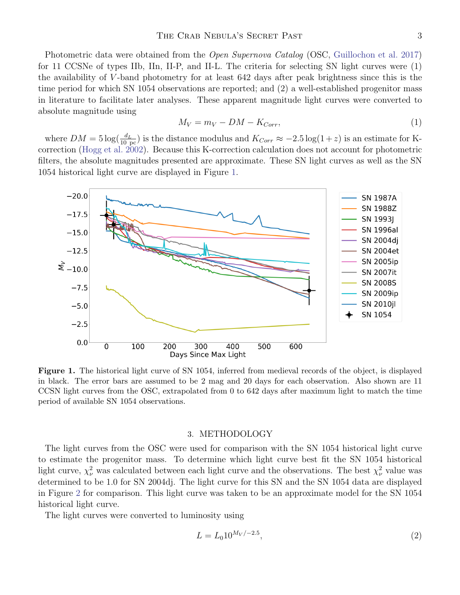Photometric data were obtained from the *Open Supernova Catalog* (OSC, [Guillochon et al.](#page-6-20) [2017\)](#page-6-20) for 11 CCSNe of types IIb, IIn, II-P, and II-L. The criteria for selecting SN light curves were (1) the availability of V -band photometry for at least 642 days after peak brightness since this is the time period for which SN 1054 observations are reported; and (2) a well-established progenitor mass in literature to facilitate later analyses. These apparent magnitude light curves were converted to absolute magnitude using

$$
M_V = m_V - DM - K_{Corr},\tag{1}
$$

where  $DM = 5 \log(\frac{d_L}{10 \text{ pc}})$  is the distance modulus and  $K_{Corr} \approx -2.5 \log(1+z)$  is an estimate for Kcorrection [\(Hogg et al.](#page-6-21) [2002\)](#page-6-21). Because this K-correction calculation does not account for photometric filters, the absolute magnitudes presented are approximate. These SN light curves as well as the SN 1054 historical light curve are displayed in Figure [1.](#page-2-0)



<span id="page-2-0"></span>Figure 1. The historical light curve of SN 1054, inferred from medieval records of the object, is displayed in black. The error bars are assumed to be 2 mag and 20 days for each observation. Also shown are 11 CCSN light curves from the OSC, extrapolated from 0 to 642 days after maximum light to match the time period of available SN 1054 observations.

## 3. METHODOLOGY

The light curves from the OSC were used for comparison with the SN 1054 historical light curve to estimate the progenitor mass. To determine which light curve best fit the SN 1054 historical light curve,  $\chi^2_{\nu}$  was calculated between each light curve and the observations. The best  $\chi^2_{\nu}$  value was determined to be 1.0 for SN 2004dj. The light curve for this SN and the SN 1054 data are displayed in Figure [2](#page-3-0) for comparison. This light curve was taken to be an approximate model for the SN 1054 historical light curve.

The light curves were converted to luminosity using

$$
L = L_0 10^{M_V / -2.5},\tag{2}
$$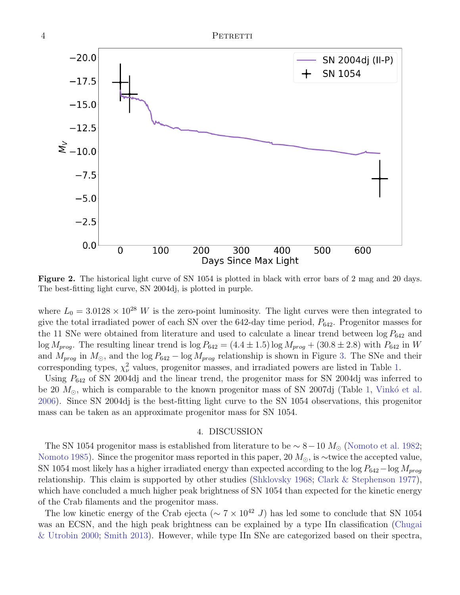<span id="page-3-0"></span>Figure 2. The historical light curve of SN 1054 is plotted in black with error bars of 2 mag and 20 days. The best-fitting light curve, SN 2004dj, is plotted in purple.

where  $L_0 = 3.0128 \times 10^{28}$  W is the zero-point luminosity. The light curves were then integrated to give the total irradiated power of each SN over the  $642$ -day time period,  $P_{642}$ . Progenitor masses for the 11 SNe were obtained from literature and used to calculate a linear trend between  $\log P_{642}$  and  $\log M_{prog}$ . The resulting linear trend is  $\log P_{642} = (4.4 \pm 1.5) \log M_{prog} + (30.8 \pm 2.8)$  with  $P_{642}$  in W and  $M_{prog}$  in  $M_{\odot}$ , and the log  $P_{642}$  – log  $M_{prog}$  relationship is shown in Figure [3.](#page-4-0) The SNe and their corresponding types,  $\chi^2_{\nu}$  values, progenitor masses, and irradiated powers are listed in Table [1.](#page-4-1)

Using  $P_{642}$  of SN 2004dj and the linear trend, the progenitor mass for SN 2004dj was inferred to be 20  $M_{\odot}$ , which is comparable to the known progenitor mass of SN 2007dj (Table [1,](#page-4-1) Vinkó et al. [2006\)](#page-7-1). Since SN 2004dj is the best-fitting light curve to the SN 1054 observations, this progenitor mass can be taken as an approximate progenitor mass for SN 1054.

#### 4. DISCUSSION

The SN 1054 progenitor mass is established from literature to be  $\sim 8 - 10 M_{\odot}$  [\(Nomoto et al.](#page-6-13) [1982;](#page-6-13) [Nomoto](#page-6-22) [1985\)](#page-6-22). Since the progenitor mass reported in this paper, 20  $M_{\odot}$ , is ~twice the accepted value, SN 1054 most likely has a higher irradiated energy than expected according to the log  $P_{642}$  – log  $M_{prog}$ relationship. This claim is supported by other studies [\(Shklovsky](#page-6-5) [1968;](#page-6-5) [Clark & Stephenson](#page-6-6) [1977\)](#page-6-6), which have concluded a much higher peak brightness of SN 1054 than expected for the kinetic energy of the Crab filaments and the progenitor mass.

The low kinetic energy of the Crab ejecta ( $\sim 7 \times 10^{42}$  J) has led some to conclude that SN 1054 was an ECSN, and the high peak brightness can be explained by a type IIn classification [\(Chugai](#page-6-16) [& Utrobin](#page-6-16) [2000;](#page-6-16) [Smith](#page-6-2) [2013\)](#page-6-2). However, while type IIn SNe are categorized based on their spectra,

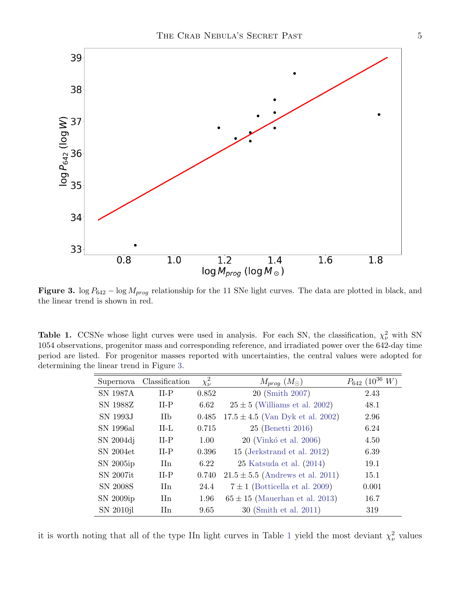

<span id="page-4-0"></span>Figure 3. log  $P_{642}$  – log  $M_{prog}$  relationship for the 11 SNe light curves. The data are plotted in black, and the linear trend is shown in red.

<span id="page-4-1"></span>**Table 1.** CCSNe whose light curves were used in analysis. For each SN, the classification,  $\chi^2_{\nu}$  with SN 1054 observations, progenitor mass and corresponding reference, and irradiated power over the 642-day time period are listed. For progenitor masses reported with uncertainties, the central values were adopted for determining the linear trend in Figure [3.](#page-4-0)

| Supernova       | Classification              | $\chi^2_{\nu}$ | $M_{prog} (M_{\odot})$               | $P_{642}$ (10 <sup>36</sup> W) |
|-----------------|-----------------------------|----------------|--------------------------------------|--------------------------------|
| <b>SN 1987A</b> | $II-P$                      | 0.852          | 20 (Smith 2007)                      | 2.43                           |
| SN 1988Z        | $II-P$                      | 6.62           | $25 \pm 5$ (Williams et al. 2002)    | 48.1                           |
| SN 1993J        | <b>IIb</b>                  | 0.485          | $17.5 \pm 4.5$ (Van Dyk et al. 2002) | 2.96                           |
| SN 1996al       | $II-L$                      | 0.715          | 25 (Benetti 2016)                    | 6.24                           |
| SN 2004dj       | $II-P$                      | 1.00           | 20 (Vinkó et al. 2006)               | 4.50                           |
| SN 2004et       | $II-P$                      | 0.396          | 15 (Jerkstrand et al. 2012)          | 6.39                           |
| SN 2005ip       | $\text{IIn}$                | 6.22           | $25$ Katsuda et al. $(2014)$         | 19.1                           |
| SN 2007it       | $II-P$                      | 0.740          | $21.5 \pm 5.5$ (Andrews et al. 2011) | 15.1                           |
| SN 2008S        | $\text{IIn}$                | 24.4           | $7 \pm 1$ (Botticella et al. 2009)   | 0.001                          |
| SN 2009ip       | $\mathop{\rm IIn}\nolimits$ | 1.96           | $65 \pm 15$ (Mauerhan et al. 2013)   | 16.7                           |
| SN 2010jl       | $\text{I}$ In               | 9.65           | 30 (Smith et al. 2011)               | 319                            |

it is worth noting that all of the type IIn light curves in Table [1](#page-4-1) yield the most deviant  $\chi^2_{\nu}$  values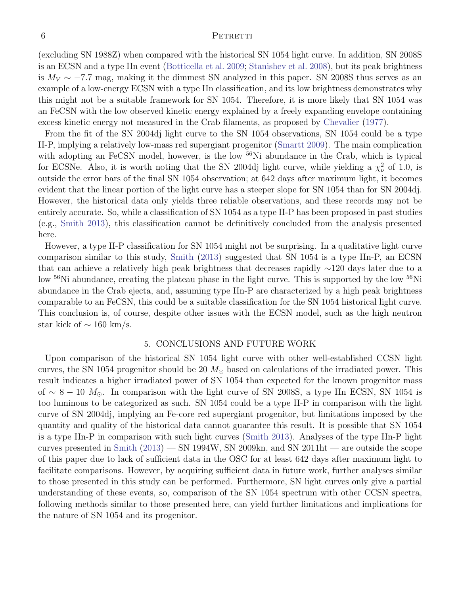#### 6 PETRETTI

(excluding SN 1988Z) when compared with the historical SN 1054 light curve. In addition, SN 2008S is an ECSN and a type IIn event [\(Botticella et al.](#page-6-28) [2009;](#page-6-28) [Stanishev et al.](#page-7-4) [2008\)](#page-7-4), but its peak brightness is  $M_V \sim -7.7$  mag, making it the dimmest SN analyzed in this paper. SN 2008S thus serves as an example of a low-energy ECSN with a type IIn classification, and its low brightness demonstrates why this might not be a suitable framework for SN 1054. Therefore, it is more likely that SN 1054 was an FeCSN with the low observed kinetic energy explained by a freely expanding envelope containing excess kinetic energy not measured in the Crab filaments, as proposed by [Chevalier](#page-6-9) [\(1977\)](#page-6-9).

From the fit of the SN 2004dj light curve to the SN 1054 observations, SN 1054 could be a type II-P, implying a relatively low-mass red supergiant progenitor [\(Smartt](#page-6-7) [2009\)](#page-6-7). The main complication with adopting an FeCSN model, however, is the low <sup>56</sup>Ni abundance in the Crab, which is typical for ECSNe. Also, it is worth noting that the SN 2004dj light curve, while yielding a  $\chi^2_{\nu}$  of 1.0, is outside the error bars of the final SN 1054 observation; at 642 days after maximum light, it becomes evident that the linear portion of the light curve has a steeper slope for SN 1054 than for SN 2004dj. However, the historical data only yields three reliable observations, and these records may not be entirely accurate. So, while a classification of SN 1054 as a type II-P has been proposed in past studies (e.g., [Smith](#page-6-2) [2013\)](#page-6-2), this classification cannot be definitively concluded from the analysis presented here.

However, a type II-P classification for SN 1054 might not be surprising. In a qualitative light curve comparison similar to this study, [Smith](#page-6-2) [\(2013\)](#page-6-2) suggested that SN 1054 is a type IIn-P, an ECSN that can achieve a relatively high peak brightness that decreases rapidly ∼120 days later due to a low <sup>56</sup>Ni abundance, creating the plateau phase in the light curve. This is supported by the low <sup>56</sup>Ni abundance in the Crab ejecta, and, assuming type IIn-P are characterized by a high peak brightness comparable to an FeCSN, this could be a suitable classification for the SN 1054 historical light curve. This conclusion is, of course, despite other issues with the ECSN model, such as the high neutron star kick of  $\sim 160$  km/s.

## 5. CONCLUSIONS AND FUTURE WORK

Upon comparison of the historical SN 1054 light curve with other well-established CCSN light curves, the SN 1054 progenitor should be 20  $M_{\odot}$  based on calculations of the irradiated power. This result indicates a higher irradiated power of SN 1054 than expected for the known progenitor mass of ~ 8 − 10  $M_{\odot}$ . In comparison with the light curve of SN 2008S, a type IIn ECSN, SN 1054 is too luminous to be categorized as such. SN 1054 could be a type II-P in comparison with the light curve of SN 2004dj, implying an Fe-core red supergiant progenitor, but limitations imposed by the quantity and quality of the historical data cannot guarantee this result. It is possible that SN 1054 is a type IIn-P in comparison with such light curves [\(Smith](#page-6-2) [2013\)](#page-6-2). Analyses of the type IIn-P light curves presented in [Smith](#page-6-2)  $(2013)$  — SN 1994W, SN 2009kn, and SN 2011ht — are outside the scope of this paper due to lack of sufficient data in the OSC for at least 642 days after maximum light to facilitate comparisons. However, by acquiring sufficient data in future work, further analyses similar to those presented in this study can be performed. Furthermore, SN light curves only give a partial understanding of these events, so, comparison of the SN 1054 spectrum with other CCSN spectra, following methods similar to those presented here, can yield further limitations and implications for the nature of SN 1054 and its progenitor.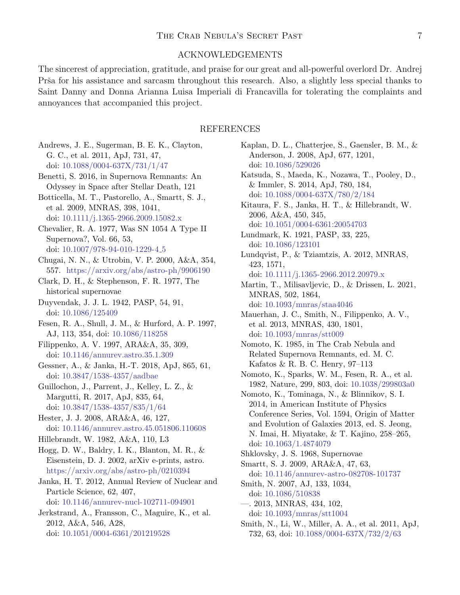## ACKNOWLEDGEMENTS

The sincerest of appreciation, gratitude, and praise for our great and all-powerful overlord Dr. Andrej Prša for his assistance and sarcasm throughout this research. Also, a slightly less special thanks to Saint Danny and Donna Arianna Luisa Imperiali di Francavilla for tolerating the complaints and annoyances that accompanied this project.

## REFERENCES

- <span id="page-6-27"></span>Andrews, J. E., Sugerman, B. E. K., Clayton, G. C., et al. 2011, ApJ, 731, 47, doi: [10.1088/0004-637X/731/1/47](http://doi.org/10.1088/0004-637X/731/1/47)
- <span id="page-6-24"></span>Benetti, S. 2016, in Supernova Remnants: An Odyssey in Space after Stellar Death, 121
- <span id="page-6-28"></span>Botticella, M. T., Pastorello, A., Smartt, S. J., et al. 2009, MNRAS, 398, 1041, doi: [10.1111/j.1365-2966.2009.15082.x](http://doi.org/10.1111/j.1365-2966.2009.15082.x)
- <span id="page-6-9"></span>Chevalier, R. A. 1977, Was SN 1054 A Type II Supernova?, Vol. 66, 53, doi: [10.1007/978-94-010-1229-4](http://doi.org/10.1007/978-94-010-1229-4_5) 5
- <span id="page-6-16"></span>Chugai, N. N., & Utrobin, V. P. 2000, A&A, 354, 557. <https://arxiv.org/abs/astro-ph/9906190>
- <span id="page-6-6"></span>Clark, D. H., & Stephenson, F. R. 1977, The historical supernovae
- <span id="page-6-1"></span>Duyvendak, J. J. L. 1942, PASP, 54, 91, doi: [10.1086/125409](http://doi.org/10.1086/125409)
- <span id="page-6-10"></span>Fesen, R. A., Shull, J. M., & Hurford, A. P. 1997, AJ, 113, 354, doi: [10.1086/118258](http://doi.org/10.1086/118258)
- <span id="page-6-22"></span><span id="page-6-3"></span>Filippenko, A. V. 1997, ARA&A, 35, 309, doi: [10.1146/annurev.astro.35.1.309](http://doi.org/10.1146/annurev.astro.35.1.309)
- <span id="page-6-18"></span><span id="page-6-13"></span>Gessner, A., & Janka, H.-T. 2018, ApJ, 865, 61, doi: [10.3847/1538-4357/aadbae](http://doi.org/10.3847/1538-4357/aadbae)
- <span id="page-6-20"></span><span id="page-6-19"></span>Guillochon, J., Parrent, J., Kelley, L. Z., & Margutti, R. 2017, ApJ, 835, 64, doi: [10.3847/1538-4357/835/1/64](http://doi.org/10.3847/1538-4357/835/1/64)
- <span id="page-6-11"></span>Hester, J. J. 2008, ARA&A, 46, 127, doi: [10.1146/annurev.astro.45.051806.110608](http://doi.org/10.1146/annurev.astro.45.051806.110608)
- <span id="page-6-14"></span>Hillebrandt, W. 1982, A&A, 110, L3
- <span id="page-6-21"></span><span id="page-6-7"></span><span id="page-6-5"></span>Hogg, D. W., Baldry, I. K., Blanton, M. R., & Eisenstein, D. J. 2002, arXiv e-prints, astro. <https://arxiv.org/abs/astro-ph/0210394>
- <span id="page-6-23"></span><span id="page-6-4"></span>Janka, H. T. 2012, Annual Review of Nuclear and Particle Science, 62, 407, doi: [10.1146/annurev-nucl-102711-094901](http://doi.org/10.1146/annurev-nucl-102711-094901)
- <span id="page-6-30"></span><span id="page-6-25"></span><span id="page-6-2"></span>Jerkstrand, A., Fransson, C., Maguire, K., et al. 2012, A&A, 546, A28, doi: [10.1051/0004-6361/201219528](http://doi.org/10.1051/0004-6361/201219528)
- <span id="page-6-29"></span><span id="page-6-26"></span><span id="page-6-17"></span><span id="page-6-15"></span><span id="page-6-12"></span><span id="page-6-8"></span><span id="page-6-0"></span>Kaplan, D. L., Chatterjee, S., Gaensler, B. M., & Anderson, J. 2008, ApJ, 677, 1201, doi: [10.1086/529026](http://doi.org/10.1086/529026) Katsuda, S., Maeda, K., Nozawa, T., Pooley, D., & Immler, S. 2014, ApJ, 780, 184, doi: [10.1088/0004-637X/780/2/184](http://doi.org/10.1088/0004-637X/780/2/184) Kitaura, F. S., Janka, H. T., & Hillebrandt, W. 2006, A&A, 450, 345, doi: [10.1051/0004-6361:20054703](http://doi.org/10.1051/0004-6361:20054703) Lundmark, K. 1921, PASP, 33, 225, doi: [10.1086/123101](http://doi.org/10.1086/123101) Lundqvist, P., & Tziamtzis, A. 2012, MNRAS, 423, 1571, doi: [10.1111/j.1365-2966.2012.20979.x](http://doi.org/10.1111/j.1365-2966.2012.20979.x) Martin, T., Milisavljevic, D., & Drissen, L. 2021, MNRAS, 502, 1864, doi: [10.1093/mnras/staa4046](http://doi.org/10.1093/mnras/staa4046) Mauerhan, J. C., Smith, N., Filippenko, A. V., et al. 2013, MNRAS, 430, 1801, doi: [10.1093/mnras/stt009](http://doi.org/10.1093/mnras/stt009) Nomoto, K. 1985, in The Crab Nebula and Related Supernova Remnants, ed. M. C. Kafatos & R. B. C. Henry, 97–113 Nomoto, K., Sparks, W. M., Fesen, R. A., et al. 1982, Nature, 299, 803, doi: [10.1038/299803a0](http://doi.org/10.1038/299803a0) Nomoto, K., Tominaga, N., & Blinnikov, S. I. 2014, in American Institute of Physics Conference Series, Vol. 1594, Origin of Matter and Evolution of Galaxies 2013, ed. S. Jeong, N. Imai, H. Miyatake, & T. Kajino, 258–265, doi: [10.1063/1.4874079](http://doi.org/10.1063/1.4874079) Shklovsky, J. S. 1968, Supernovae Smartt, S. J. 2009, ARA&A, 47, 63, doi: [10.1146/annurev-astro-082708-101737](http://doi.org/10.1146/annurev-astro-082708-101737) Smith, N. 2007, AJ, 133, 1034, doi: [10.1086/510838](http://doi.org/10.1086/510838) —. 2013, MNRAS, 434, 102, doi: [10.1093/mnras/stt1004](http://doi.org/10.1093/mnras/stt1004) Smith, N., Li, W., Miller, A. A., et al. 2011, ApJ,
	- 732, 63, doi: [10.1088/0004-637X/732/2/63](http://doi.org/10.1088/0004-637X/732/2/63)